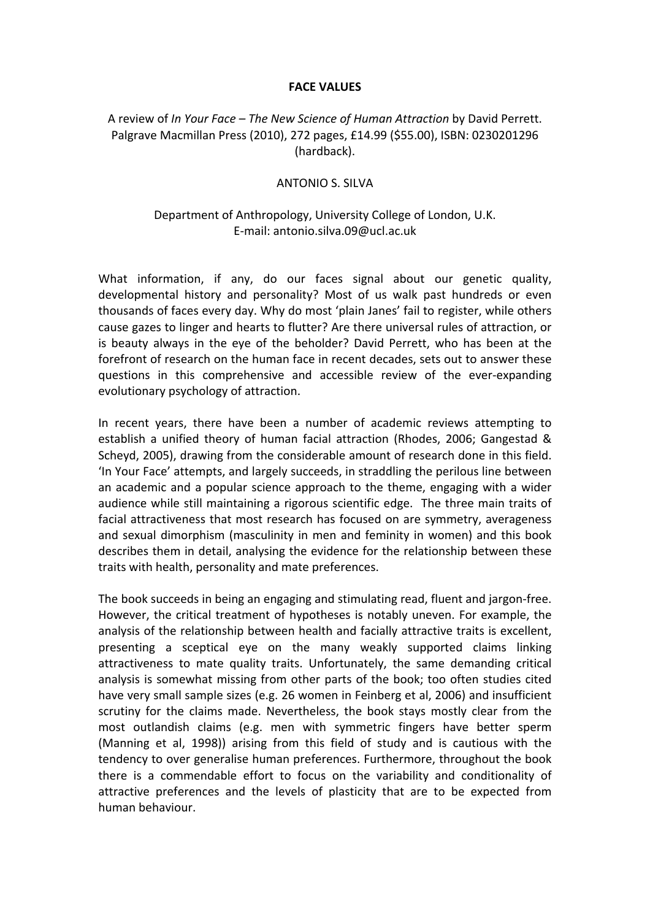#### **FACE VALUES**

# A review of *In Your Face – The New Science of Human Attraction* by David Perrett. Palgrave Macmillan Press (2010), 272 pages, £14.99 (\$55.00), ISBN: 0230201296 (hardback).

#### ANTONIO S. SILVA

## Department of Anthropology, University College of London, U.K. E-mail: antonio.silva.09@ucl.ac.uk

What information, if any, do our faces signal about our genetic quality, developmental history and personality? Most of us walk past hundreds or even thousands of faces every day. Why do most 'plain Janes' fail to register, while others cause gazes to linger and hearts to flutter? Are there universal rules of attraction, or is beauty always in the eye of the beholder? David Perrett, who has been at the forefront of research on the human face in recent decades, sets out to answer these questions in this comprehensive and accessible review of the ever-expanding evolutionary psychology of attraction.

In recent years, there have been a number of academic reviews attempting to establish a unified theory of human facial attraction (Rhodes, 2006; Gangestad & Scheyd, 2005), drawing from the considerable amount of research done in this field. 'In Your Face' attempts, and largely succeeds, in straddling the perilous line between an academic and a popular science approach to the theme, engaging with a wider audience while still maintaining a rigorous scientific edge. The three main traits of facial attractiveness that most research has focused on are symmetry, averageness and sexual dimorphism (masculinity in men and feminity in women) and this book describes them in detail, analysing the evidence for the relationship between these traits with health, personality and mate preferences.

The book succeeds in being an engaging and stimulating read, fluent and jargon-free. However, the critical treatment of hypotheses is notably uneven. For example, the analysis of the relationship between health and facially attractive traits is excellent, presenting a sceptical eye on the many weakly supported claims linking attractiveness to mate quality traits. Unfortunately, the same demanding critical analysis is somewhat missing from other parts of the book; too often studies cited have very small sample sizes (e.g. 26 women in Feinberg et al, 2006) and insufficient scrutiny for the claims made. Nevertheless, the book stays mostly clear from the most outlandish claims (e.g. men with symmetric fingers have better sperm (Manning et al, 1998)) arising from this field of study and is cautious with the tendency to over generalise human preferences. Furthermore, throughout the book there is a commendable effort to focus on the variability and conditionality of attractive preferences and the levels of plasticity that are to be expected from human behaviour.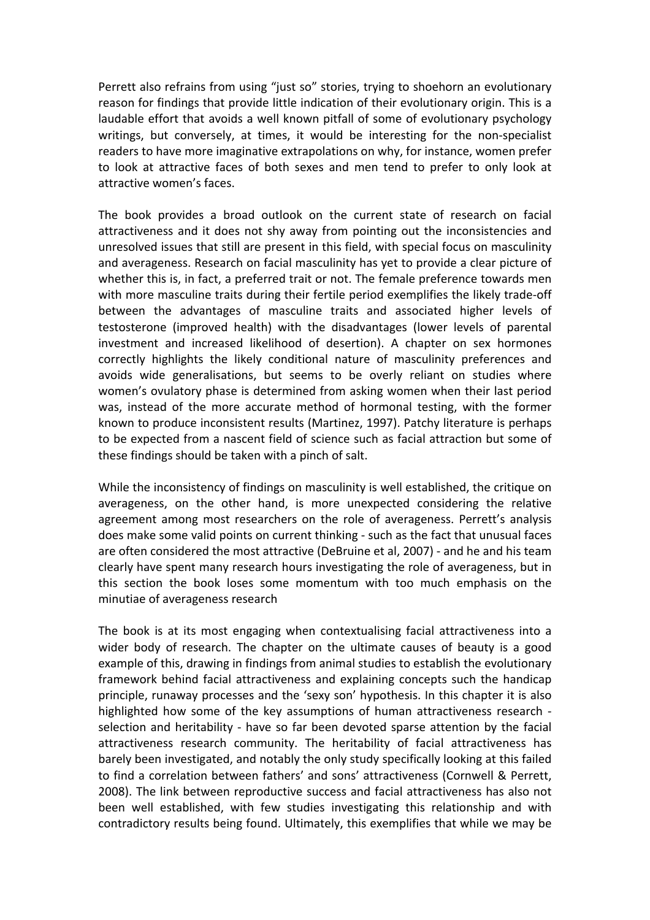Perrett also refrains from using "just so" stories, trying to shoehorn an evolutionary reason for findings that provide little indication of their evolutionary origin. This is a laudable effort that avoids a well known pitfall of some of evolutionary psychology writings, but conversely, at times, it would be interesting for the non-specialist readers to have more imaginative extrapolations on why, for instance, women prefer to look at attractive faces of both sexes and men tend to prefer to only look at attractive women's faces.

The book provides a broad outlook on the current state of research on facial attractiveness and it does not shy away from pointing out the inconsistencies and unresolved issues that still are present in this field, with special focus on masculinity and averageness. Research on facial masculinity has yet to provide a clear picture of whether this is, in fact, a preferred trait or not. The female preference towards men with more masculine traits during their fertile period exemplifies the likely trade-off between the advantages of masculine traits and associated higher levels of testosterone (improved health) with the disadvantages (lower levels of parental investment and increased likelihood of desertion). A chapter on sex hormones correctly highlights the likely conditional nature of masculinity preferences and avoids wide generalisations, but seems to be overly reliant on studies where women's ovulatory phase is determined from asking women when their last period was, instead of the more accurate method of hormonal testing, with the former known to produce inconsistent results (Martinez, 1997). Patchy literature is perhaps to be expected from a nascent field of science such as facial attraction but some of these findings should be taken with a pinch of salt.

While the inconsistency of findings on masculinity is well established, the critique on averageness, on the other hand, is more unexpected considering the relative agreement among most researchers on the role of averageness. Perrett's analysis does make some valid points on current thinking - such as the fact that unusual faces are often considered the most attractive (DeBruine et al, 2007) - and he and his team clearly have spent many research hours investigating the role of averageness, but in this section the book loses some momentum with too much emphasis on the minutiae of averageness research

The book is at its most engaging when contextualising facial attractiveness into a wider body of research. The chapter on the ultimate causes of beauty is a good example of this, drawing in findings from animal studies to establish the evolutionary framework behind facial attractiveness and explaining concepts such the handicap principle, runaway processes and the 'sexy son' hypothesis. In this chapter it is also highlighted how some of the key assumptions of human attractiveness research selection and heritability - have so far been devoted sparse attention by the facial attractiveness research community. The heritability of facial attractiveness has barely been investigated, and notably the only study specifically looking at this failed to find a correlation between fathers' and sons' attractiveness (Cornwell & Perrett, 2008). The link between reproductive success and facial attractiveness has also not been well established, with few studies investigating this relationship and with contradictory results being found. Ultimately, this exemplifies that while we may be